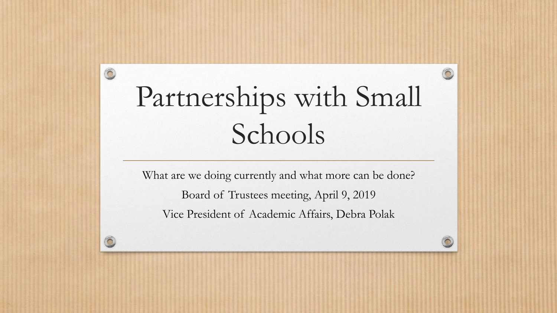# Partnerships with Small Schools

 $\circledcirc$ 

What are we doing currently and what more can be done? Board of Trustees meeting, April 9, 2019 Vice President of Academic Affairs, Debra Polak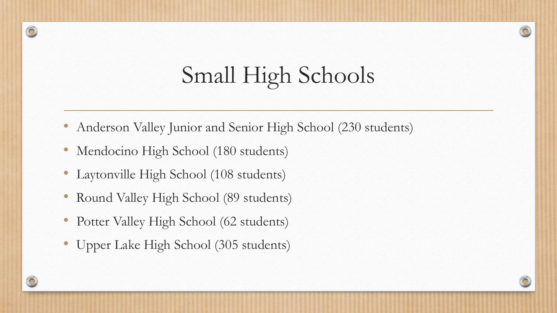# Small High Schools

 $\sqrt{2}$ 

- Anderson Valley Junior and Senior High School (230 students)
- Mendocino High School (180 students)
- Laytonville High School (108 students)
- Round Valley High School (89 students)
- Potter Valley High School (62 students)
- Upper Lake High School (305 students)

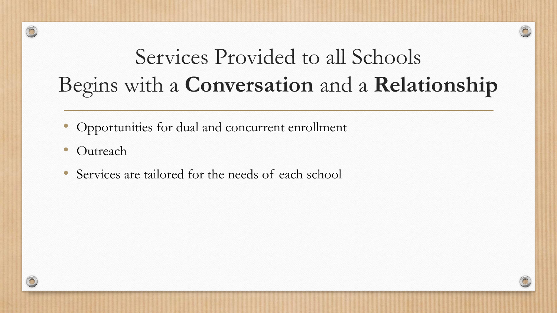#### Services Provided to all Schools Begins with a **Conversation** and a **Relationship**

- Opportunities for dual and concurrent enrollment
- **Outreach**
- Services are tailored for the needs of each school

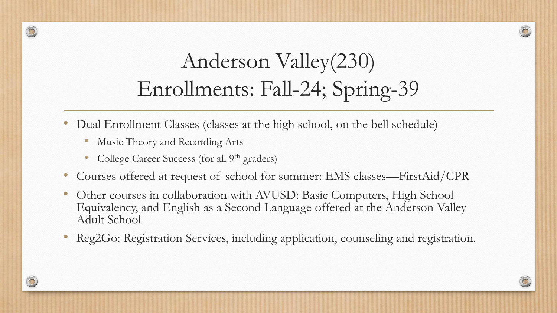### Anderson Valley(230) Enrollments: Fall-24; Spring-39

- Dual Enrollment Classes (classes at the high school, on the bell schedule)
	- Music Theory and Recording Arts
	- College Career Success (for all 9<sup>th</sup> graders)
- Courses offered at request of school for summer: EMS classes—FirstAid/CPR
- Other courses in collaboration with AVUSD: Basic Computers, High School Equivalency, and English as a Second Language offered at the Anderson Valley Adult School
- Reg2Go: Registration Services, including application, counseling and registration.

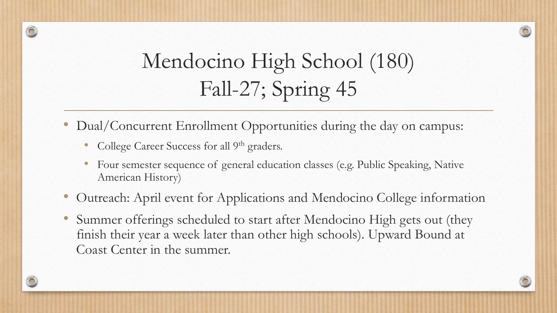#### Mendocino High School (180) Fall-27; Spring 45

- Dual/Concurrent Enrollment Opportunities during the day on campus:
	- College Career Success for all 9<sup>th</sup> graders.
	- Four semester sequence of general education classes (e.g. Public Speaking, Native American History)
- Outreach: April event for Applications and Mendocino College information
- Summer offerings scheduled to start after Mendocino High gets out (they finish their year a week later than other high schools). Upward Bound at Coast Center in the summer.

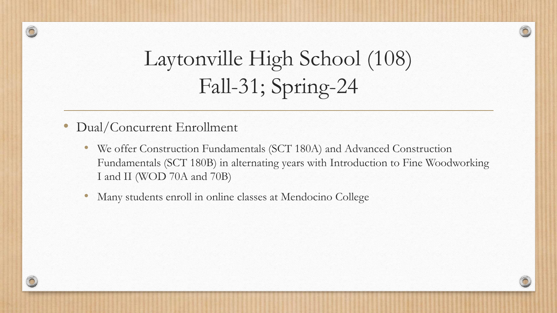

### Laytonville High School (108) Fall-31; Spring-24

• Dual/Concurrent Enrollment

- We offer Construction Fundamentals (SCT 180A) and Advanced Construction Fundamentals (SCT 180B) in alternating years with Introduction to Fine Woodworking I and II (WOD 70A and 70B)
- Many students enroll in online classes at Mendocino College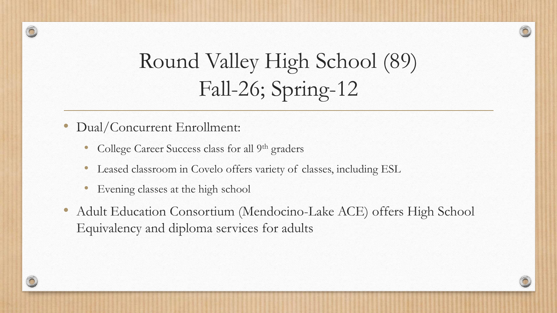

- Dual/Concurrent Enrollment:
	- College Career Success class for all 9<sup>th</sup> graders
	- Leased classroom in Covelo offers variety of classes, including ESL
	- Evening classes at the high school
- Adult Education Consortium (Mendocino-Lake ACE) offers High School Equivalency and diploma services for adults

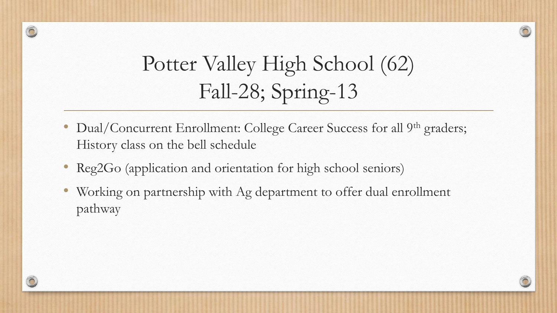#### Potter Valley High School (62) Fall-28; Spring-13

- Dual/Concurrent Enrollment: College Career Success for all 9<sup>th</sup> graders; History class on the bell schedule
- Reg2Go (application and orientation for high school seniors)
- Working on partnership with Ag department to offer dual enrollment pathway

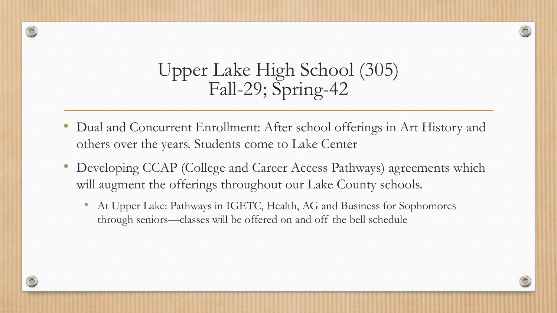#### Upper Lake High School (305) Fall-29; Spring-42

- Dual and Concurrent Enrollment: After school offerings in Art History and others over the years. Students come to Lake Center
- Developing CCAP (College and Career Access Pathways) agreements which will augment the offerings throughout our Lake County schools.
	- At Upper Lake: Pathways in IGETC, Health, AG and Business for Sophomores through seniors—classes will be offered on and off the bell schedule

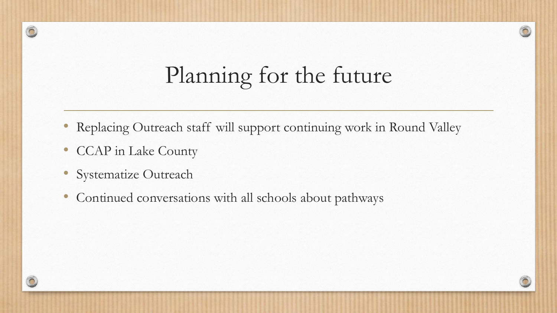# Planning for the future

- Replacing Outreach staff will support continuing work in Round Valley
- CCAP in Lake County
- Systematize Outreach
- Continued conversations with all schools about pathways